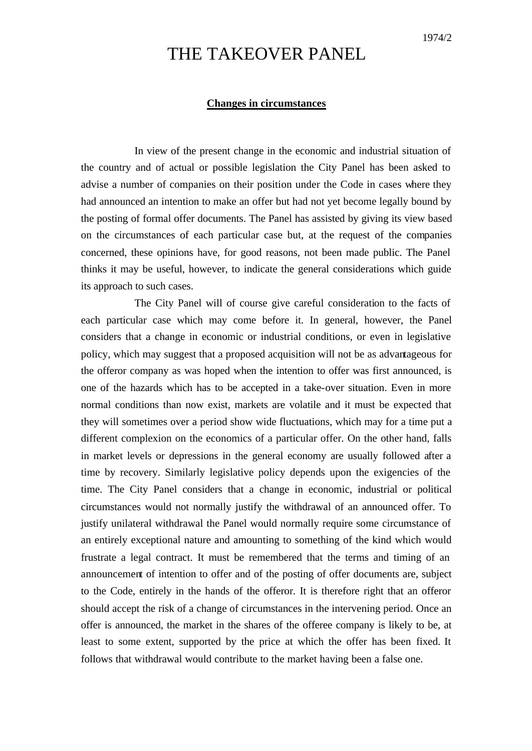## THE TAKEOVER PANEL

## **Changes in circumstances**

In view of the present change in the economic and industrial situation of the country and of actual or possible legislation the City Panel has been asked to advise a number of companies on their position under the Code in cases where they had announced an intention to make an offer but had not yet become legally bound by the posting of formal offer documents. The Panel has assisted by giving its view based on the circumstances of each particular case but, at the request of the companies concerned, these opinions have, for good reasons, not been made public. The Panel thinks it may be useful, however, to indicate the general considerations which guide its approach to such cases.

The City Panel will of course give careful consideration to the facts of each particular case which may come before it. In general, however, the Panel considers that a change in economic or industrial conditions, or even in legislative policy, which may suggest that a proposed acquisition will not be as advantageous for the offeror company as was hoped when the intention to offer was first announced, is one of the hazards which has to be accepted in a take-over situation. Even in more normal conditions than now exist, markets are volatile and it must be expected that they will sometimes over a period show wide fluctuations, which may for a time put a different complexion on the economics of a particular offer. On the other hand, falls in market levels or depressions in the general economy are usually followed after a time by recovery. Similarly legislative policy depends upon the exigencies of the time. The City Panel considers that a change in economic, industrial or political circumstances would not normally justify the withdrawal of an announced offer. To justify unilateral withdrawal the Panel would normally require some circumstance of an entirely exceptional nature and amounting to something of the kind which would frustrate a legal contract. It must be remembered that the terms and timing of an announcement of intention to offer and of the posting of offer documents are, subject to the Code, entirely in the hands of the offeror. It is therefore right that an offeror should accept the risk of a change of circumstances in the intervening period. Once an offer is announced, the market in the shares of the offeree company is likely to be, at least to some extent, supported by the price at which the offer has been fixed. It follows that withdrawal would contribute to the market having been a false one.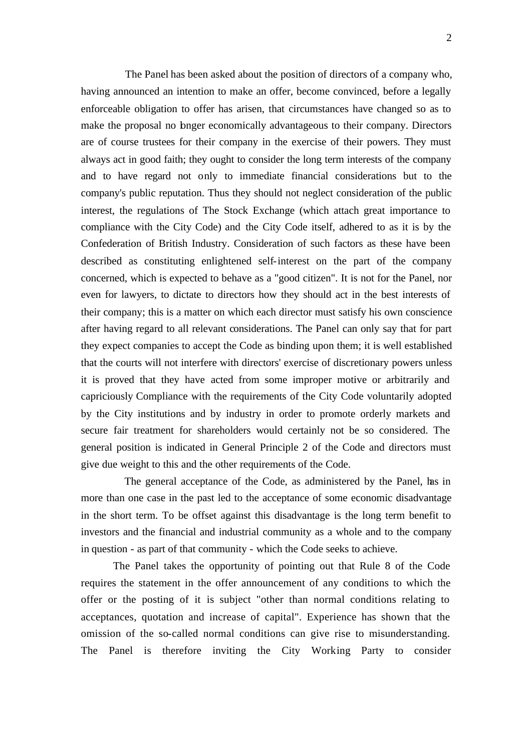The Panel has been asked about the position of directors of a company who, having announced an intention to make an offer, become convinced, before a legally enforceable obligation to offer has arisen, that circumstances have changed so as to make the proposal no bnger economically advantageous to their company. Directors are of course trustees for their company in the exercise of their powers. They must always act in good faith; they ought to consider the long term interests of the company and to have regard not only to immediate financial considerations but to the company's public reputation. Thus they should not neglect consideration of the public interest, the regulations of The Stock Exchange (which attach great importance to compliance with the City Code) and the City Code itself, adhered to as it is by the Confederation of British Industry. Consideration of such factors as these have been described as constituting enlightened self-interest on the part of the company concerned, which is expected to behave as a "good citizen". It is not for the Panel, nor even for lawyers, to dictate to directors how they should act in the best interests of their company; this is a matter on which each director must satisfy his own conscience after having regard to all relevant considerations. The Panel can only say that for part they expect companies to accept the Code as binding upon them; it is well established that the courts will not interfere with directors' exercise of discretionary powers unless it is proved that they have acted from some improper motive or arbitrarily and capriciously Compliance with the requirements of the City Code voluntarily adopted by the City institutions and by industry in order to promote orderly markets and secure fair treatment for shareholders would certainly not be so considered. The general position is indicated in General Principle 2 of the Code and directors must give due weight to this and the other requirements of the Code.

The general acceptance of the Code, as administered by the Panel, has in more than one case in the past led to the acceptance of some economic disadvantage in the short term. To be offset against this disadvantage is the long term benefit to investors and the financial and industrial community as a whole and to the company in question - as part of that community - which the Code seeks to achieve.

The Panel takes the opportunity of pointing out that Rule 8 of the Code requires the statement in the offer announcement of any conditions to which the offer or the posting of it is subject "other than normal conditions relating to acceptances, quotation and increase of capital". Experience has shown that the omission of the so-called normal conditions can give rise to misunderstanding. The Panel is therefore inviting the City Working Party to consider